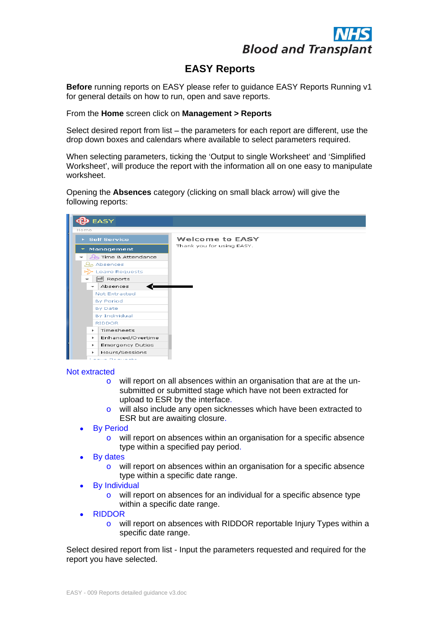

# **EASY Reports**

**Before** running reports on EASY please refer to guidance EASY Reports Running v1 for general details on how to run, open and save reports.

From the **Home** screen click on **Management > Reports** 

Select desired report from list  $-$  the parameters for each report are different, use the drop down boxes and calendars where available to select parameters required.

When selecting parameters, ticking the 'Output to single Worksheet' and 'Simplified Worksheet', will produce the report with the information all on one easy to manipulate worksheet.

Opening the **Absences** category (clicking on small black arrow) will give the following reports:



### Not extracted

- o will report on all absences within an organisation that are at the un submitted or submitted stage which have not been extracted for upload to ESR by the interface.
- o will also include any open sicknesses which have been extracted to ESR but are awaiting closure.<br>By Period
- - o will report on absences within an organisation for a specific absence type within a specified pay period.
- **By dates By dates By dates By dates By dates By dates By dates By dates By dates By dates By dates By dates By dates By dates By dates By dates By dates By dates By dates By dates B** 
	- o will report on absences within an organisation for a specific absence type within a specific date range.
- By Individual
	- o will report on absences for an individual for a specific absence type within a specific date range.
- RIDDOR
	- o will report on absences with RIDDOR reportable Injury Types within a specific date range.

Select desired report from list - Input the parameters requested and required for the report you have selected.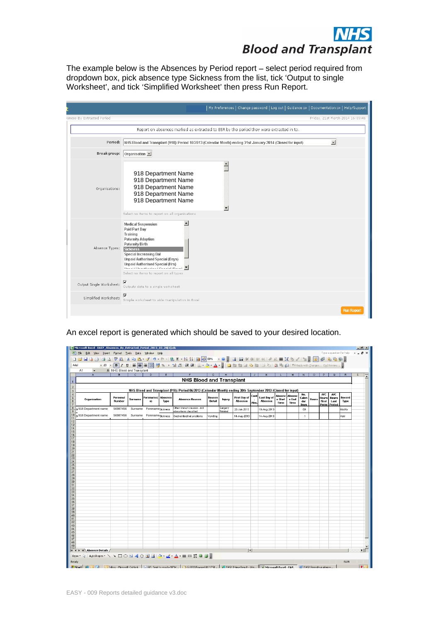

The example below is the Absences by Period report – select period required from dropdown box, pick absence type Sickness from the list, tick 'Output to single Worksheet , and tick Simplified Worksheet then press Run Report.

|                            | My Preferences   Change password   Log out   Guidance G>   Documentation G>   Help/Support                                                                                                                                                        |                                  |
|----------------------------|---------------------------------------------------------------------------------------------------------------------------------------------------------------------------------------------------------------------------------------------------|----------------------------------|
| iences By Extracted Period |                                                                                                                                                                                                                                                   | Friday, 21st March 2014 16:09:46 |
|                            | Report on absences marked as extracted to ESR by the period they were extracted in to.                                                                                                                                                            |                                  |
|                            | Period: NHS Blood and Transplant (918): Period 10/2013 (Calendar Month) ending 31st January 2014 (Closed for input)                                                                                                                               | $\overline{\phantom{0}}$         |
|                            | Breakgroup: Organisation •                                                                                                                                                                                                                        |                                  |
| Organisations:             | 918 Department Name<br>918 Department Name<br>918 Department Name<br>918 Department Name<br>918 Department Name<br>Select no items to report on all organisations                                                                                 |                                  |
| Absence Types: Sickness    | <b>Medical Suspension</b><br>Paid Part Day<br>Training<br>Paternity Adoption<br>Paternity Birth<br><b>Special Increasing Bal</b><br>Unpaid Authorised Special (Days)<br>Unpaid Authorised Special (Hrs)<br>Select no items to report on all types |                                  |
|                            | Output Single Worksheet: Outputs data to a single worksheet                                                                                                                                                                                       |                                  |
| Simplified Worksheet:      | Simple worksheet to aide manipulation in Excel                                                                                                                                                                                                    |                                  |
|                            |                                                                                                                                                                                                                                                   | <b>Run Report</b>                |

| <b>DIOOU dilu Transpidiit</b>                                                                                                                                                                                                                                                                                                                                                                                                                                                                                                                                                                                                                                                                                                                                                                                                                         |            |
|-------------------------------------------------------------------------------------------------------------------------------------------------------------------------------------------------------------------------------------------------------------------------------------------------------------------------------------------------------------------------------------------------------------------------------------------------------------------------------------------------------------------------------------------------------------------------------------------------------------------------------------------------------------------------------------------------------------------------------------------------------------------------------------------------------------------------------------------------------|------------|
| The example below is the Absences by Period report - select period required from<br>dropdown box, pick absence type Sickness from the list, tick 'Output to single<br>Worksheet', and tick 'Simplified Worksheet' then press Run Report.                                                                                                                                                                                                                                                                                                                                                                                                                                                                                                                                                                                                              |            |
| $\mid$ My Preferences $\mid$ Change password $\mid$ Log out $\mid$ Guidance $\boxplus$ $\mid$ Documentation $\boxplus$ $\mid$ Help/Support                                                                                                                                                                                                                                                                                                                                                                                                                                                                                                                                                                                                                                                                                                            |            |
| ences By Extracted Period<br>Friday, 21st March 2014 16:09:46                                                                                                                                                                                                                                                                                                                                                                                                                                                                                                                                                                                                                                                                                                                                                                                         |            |
| Report on absences marked as extracted to ESR by the period they were extracted in to.                                                                                                                                                                                                                                                                                                                                                                                                                                                                                                                                                                                                                                                                                                                                                                |            |
| Period: NHS Blood and Transplant (918): Period 10/2013 (Calendar Month) ending 31st January 2014 (Closed for input)<br>$\vert \cdot \vert$                                                                                                                                                                                                                                                                                                                                                                                                                                                                                                                                                                                                                                                                                                            |            |
| Breakgroup: Organisation $\vert \cdot \vert$                                                                                                                                                                                                                                                                                                                                                                                                                                                                                                                                                                                                                                                                                                                                                                                                          |            |
| 918 Department Name<br>918 Department Name<br>918 Department Name<br>Organisations:<br>918 Department Name<br>918 Department Name<br>Select no items to report on all organisations                                                                                                                                                                                                                                                                                                                                                                                                                                                                                                                                                                                                                                                                   |            |
| <b>Medical Suspension</b><br>Paid Part Day<br>Training<br>Paternity Adoption<br>Paternity Birth<br>Absence Types:<br>Sickness<br><b>Special Increasing Bal</b><br>Unpaid Authorised Special (Days)<br>Unpaid Authorised Special (Hrs)<br>Select no items to report on all types                                                                                                                                                                                                                                                                                                                                                                                                                                                                                                                                                                       |            |
| $\overline{\mathbf{v}}$<br>Output Single Worksheet:<br>Outputs data to a single worksheet                                                                                                                                                                                                                                                                                                                                                                                                                                                                                                                                                                                                                                                                                                                                                             |            |
| E<br>Simplified Worksheet:<br>Simple worksheet to aide manipulation in Excel                                                                                                                                                                                                                                                                                                                                                                                                                                                                                                                                                                                                                                                                                                                                                                          |            |
| An excel report is generated which should be saved to your desired location.<br>Microsoft Excel - EASY_Absences_By_Extracted_Period 2<br>Type a question for help $\rightarrow$ $\equiv$ $\blacksquare$ $\times$<br>Window<br>$\hbox{G\,{\sc i}}(\mathcal{I} \otimes \mathbb{Z}) \otimes \mathbb{Z} \otimes \mathbb{Z} \rightarrow \mathbb{Z} \otimes \mathbb{Z} \rightarrow \mathbb{Z} \otimes \mathbb{Z} \otimes \mathbb{Z} \otimes \mathbb{Z} \otimes \mathbb{Z} \otimes \mathbb{Z} \otimes \mathbb{Z} \otimes \mathbb{Z} \rightarrow \mathbb{Z} \otimes \mathbb{Z} \otimes \mathbb{Z} \otimes \mathbb{Z} \otimes \mathbb{Z} \otimes \mathbb{Z} \otimes \mathbb{Z} \otimes \mathbb{Z} \rightarrow \mathbb{Z} \otimes \mathbb{Z}$<br>A1<br>A  B C D E<br>F   G   H   I   J   K   L   M   N   O   P   Q   R   S  <br><b>NHS Blood and Transplant</b> | 그리지        |
| $\frac{2}{3}$<br>NHS Blood and Transplant (918): Period 06/2013 (Calendar Month) ending 30th September 2013 (Closed for input)                                                                                                                                                                                                                                                                                                                                                                                                                                                                                                                                                                                                                                                                                                                        |            |
| First Day of<br>Last Day of<br>Persona<br>Hours Hours Record<br>First Last Type<br>bsence<br>Type<br>$\begin{array}{c c c} \text{e Start} & \text{e End} & \text{Calen} \\ \hline \text{Time} & \text{Time} & \text{Box} \end{array}$<br>Organisation<br><b>Absence Reason</b><br>Injury<br>Detail<br>Number<br>Absence<br>Absence<br>- 8)<br>labs<br>Perio Period<br>Other known causes - not<br>9918 Department name 56987456 Surname ForenameSickness<br>$\begin{array}{ c c c c c }\nSurgery & 20\,\text{Jun-}2013 & \end{array}$<br>Modify<br>18-Aug-2013<br>60<br>elsewhere classified<br>918 Department name 56987456 Surname Forenamesickness Gastrointestinal problems<br>Vomting<br>14-Aug-2013<br>14-Aug-2013<br>Add<br>$\overline{1}$                                                                                                     |            |
| $\vert \cdot \vert$                                                                                                                                                                                                                                                                                                                                                                                                                                                                                                                                                                                                                                                                                                                                                                                                                                   | ▸║         |
| EASY - 009 Reports detailed guidance v3.doc                                                                                                                                                                                                                                                                                                                                                                                                                                                                                                                                                                                                                                                                                                                                                                                                           | <b>lol</b> |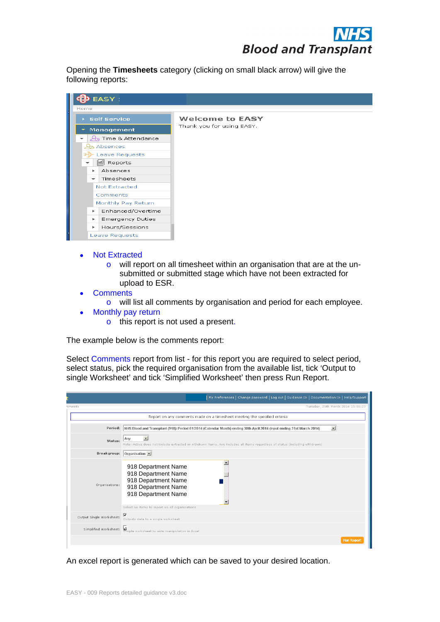Opening the **Timesheets** category (clicking on small black arrow) will give the following reports:



- Not Extracted
	- o will report on all timesheet within an organisation that are at the un submitted or submitted stage which have not been extracted for upload to ESR.
- **Comments Comments** 
	- o will list all comments by organisation and period for each employee.
- Monthly pay return
	- o this report is not used a present.

The example below is the comments report:

Select Comments report from list - for this report you are required to select period, select status, pick the required organisation from the available list, tick 'Output to single Worksheet' and tick 'Simplified Worksheet' then press Run Report.

|       |                                                                                                                                                                                     | My Preferences   Change password   Log out   Guidance G→   Documentation G→   Help/Support |
|-------|-------------------------------------------------------------------------------------------------------------------------------------------------------------------------------------|--------------------------------------------------------------------------------------------|
| ments |                                                                                                                                                                                     | Tuesday, 25th March 2014 15:06:23                                                          |
|       | Report on any comments made on a timesheet meeting the specified criteria                                                                                                           |                                                                                            |
|       | Period: NHS Blood and Transplant (918): Period 01/2014 (Calendar Month) ending 30th April 2014 (Input ending 31st March 2014)                                                       |                                                                                            |
|       | Any<br>Status:<br>Note: Active does not include extracted or withdrawn items, Any includes all items regardless of status (including withdrawn)                                     |                                                                                            |
|       | Breakgroup: Organisation -                                                                                                                                                          |                                                                                            |
|       | 918 Department Name<br>918 Department Name<br>918 Department Name<br>Organisations:<br>918 Department Name<br>918 Department Name<br>Select no items to report on all organisations |                                                                                            |
|       | Output Single Worksheet: Moutputs data to a single worksheet                                                                                                                        |                                                                                            |
|       | Simplified Worksheet: Simple worksheet to aide manipulation in Excel                                                                                                                |                                                                                            |
|       |                                                                                                                                                                                     | Run Report                                                                                 |

An excel report is generated which can be saved to your desired location.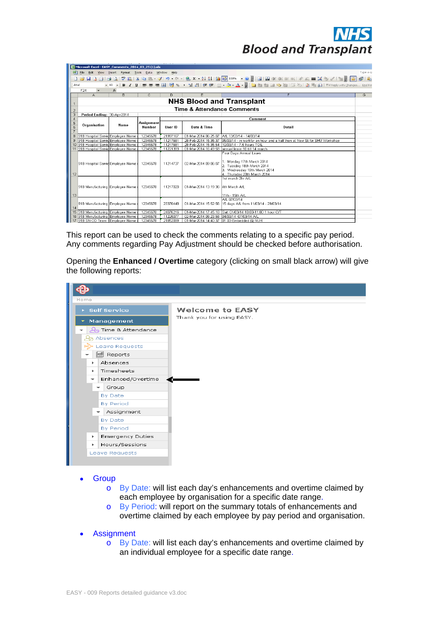|                | Microsoft Excel - EASY Comments 2014 03 25 (1) xls |                        |                                    |          |                                       |                                                                                                                                |                                                 |
|----------------|----------------------------------------------------|------------------------|------------------------------------|----------|---------------------------------------|--------------------------------------------------------------------------------------------------------------------------------|-------------------------------------------------|
| 国              | File<br>Edit<br>View                               | Format Tools<br>Insert | Data Window                        | Help     |                                       |                                                                                                                                | Type a qu                                       |
|                |                                                    |                        |                                    |          |                                       |                                                                                                                                |                                                 |
|                | $H$ $A$ $A$<br>$\triangle$                         | $\Delta$               |                                    |          |                                       |                                                                                                                                | $\mathbb{E}^{\sharp}$ $\mathbb{E}_{\mathbb{R}}$ |
| Arial          |                                                    | $-10$                  |                                    |          |                                       | • B / U   手   青   雪   野 % , な ぷ  详   田 • ♪ • $\Delta$ •     泊 白 白   白   凶     2 ℃     図   画       */*eply with Changes… End Re |                                                 |
|                | F <sub>24</sub>                                    | $f_x$                  |                                    |          |                                       |                                                                                                                                |                                                 |
|                | $\mathbb{A}$                                       | R.                     | $\mathbb{C}$                       | $\Box$   | F                                     | F                                                                                                                              | G                                               |
|                |                                                    |                        |                                    |          |                                       | <b>NHS Blood and Transplant</b>                                                                                                |                                                 |
| 2              |                                                    |                        |                                    |          | <b>Time &amp; Attendance Comments</b> |                                                                                                                                |                                                 |
| 3              | Period Ending: 30-Apr-2014                         |                        |                                    |          |                                       |                                                                                                                                |                                                 |
| $\overline{4}$ |                                                    |                        |                                    |          |                                       | Comment                                                                                                                        |                                                 |
| 5<br>6         | Organisation                                       | Name                   | <b>Assignment</b><br><b>Number</b> | User ID  | Date & Time                           | Detail                                                                                                                         |                                                 |
|                |                                                    |                        |                                    |          |                                       |                                                                                                                                |                                                 |
|                | 8 918 Hospital Servic Employee Name                |                        | 12345678                           | 21997167 | 01-Mar-2014 06:25:07                  | A/L 13/03/14 - 14/03/14                                                                                                        |                                                 |
|                | 918 Hospital Servid Employee Name                  |                        | 12345678                           | 11217681 | 28-Feb-2014 15:35:37                  | 05/03/14 - in workfor an hour and a half then at New St for SHU Workshop                                                       |                                                 |
|                | 10 918 Hospital Servic Employee Name               |                        | 12345678                           | 11217681 |                                       | 28-Feb-2014 15:35:54 10/03/14 - 7.5 hours TOIL                                                                                 |                                                 |
|                | 11 918 Hospital Servid Employee Name               |                        | 12345678                           | 11221393 |                                       | 01-Mar-2014 16:49:58 annual leave 10 till 14 march                                                                             |                                                 |
|                | 918 Hospital Servid Employee Name i                |                        | 12345678                           | 11214737 | 02-Mar-2014 09:06:07                  | Four Days Annual Leave<br>1. Monday 17th March 2014<br>2. Tuesday 18th March 2014<br>3. Wednesday 19th March 2014              |                                                 |
| 12             |                                                    |                        |                                    |          |                                       | 4. Thursday 20th March 2014                                                                                                    |                                                 |
| 13             | 918 Manufacturing Employee Name                    |                        | 12345678                           | 11217020 | 01-Mar-2014 13:19:36 4th March A/L    | 1st march 2hr A/L<br>11th - 15th A/L                                                                                           |                                                 |
| 14             | 918 Manufacturing Employee Name                    |                        | 12345678                           | 23376448 | 01-Mar-2014 15:52:56                  | A/L 07/03/14<br>15 days A/L from 11/03/14 - 29/03/14                                                                           |                                                 |
|                | 15 918 Manufacturing Employee Name                 |                        | 12345678                           | 24076216 |                                       | 01-Mar-2014 17:45:18 Sat. 01/03/14 10.00-11.00 1 hour O/T                                                                      |                                                 |
|                | 16 918 Manufacturing Employee Name                 |                        | 12345678                           | 11225077 |                                       | 02-Mar-2014 08:23:58 04/03/14 -07/03/14 A/L                                                                                    |                                                 |
|                | 17 918 SN-OD Team Employee Name                    |                        | 12345678                           | 21852099 |                                       | 01-Mar-2014 14:40:37 01.03-Embedded @ NUH                                                                                      |                                                 |

|                                                                                                                                                                                                                                                                                                                                                                                                                                                                            | <b>DIUUU diiu Tidiispidiit</b>                                                                                                                                                                                                                                                       |          |
|----------------------------------------------------------------------------------------------------------------------------------------------------------------------------------------------------------------------------------------------------------------------------------------------------------------------------------------------------------------------------------------------------------------------------------------------------------------------------|--------------------------------------------------------------------------------------------------------------------------------------------------------------------------------------------------------------------------------------------------------------------------------------|----------|
| Microsoft Excel - EASY_Comments_2014_03_25 (1).xls<br>[ <mark>관</mark> ] Eile Edit View Insert F <u>o</u> rmat <u>T</u> ools <u>D</u> ata Window Help<br>$\cdot$ 10 $\cdot$ B $I$ U $\equiv$ $\equiv$ $\equiv$<br>$F24 \rightarrow$ $\rightarrow$                                                                                                                                                                                                                          | 5) % , な ぷ   读 字 田 • ♪ • △ • 』  10 包 包 包 色   23 も   23 「包 回    Y*Reply with Changes… End Re                                                                                                                                                                                          | Type a q |
| Period Ending: 30-Apr-2014                                                                                                                                                                                                                                                                                                                                                                                                                                                 | <b>NHS Blood and Transplant</b><br>Time & Attendance Comments                                                                                                                                                                                                                        |          |
| <b>\ssignment</b><br>Organisation<br>Name<br>Number                                                                                                                                                                                                                                                                                                                                                                                                                        | <b>Comment</b><br>User ID<br>Date & Time<br>Detail                                                                                                                                                                                                                                   |          |
|                                                                                                                                                                                                                                                                                                                                                                                                                                                                            | 3  918 Hospital Servid Employee Name   12345678   21997167   01-Mar-2014 06:25:07  А/L 13/03/14 - 14/03/14<br>3  918 Hospital Servid Employee Name   12345678   112/7681   28-Feb-2014 15:35:54   0503/14 - in workfor an hour a<br>Four Days Annual Leave<br>Monday 17th March 2014 |          |
| 918 Hospital Servic Employee Name   12345678   11214737   02-Mar-2014 09:06:07                                                                                                                                                                                                                                                                                                                                                                                             | Tuesday 18th March 2014<br>Wednesday 19th March 2014<br>Thursday 20th March 2014<br>1st march 2hr A/L                                                                                                                                                                                |          |
| 918 Manufacturing Employee Name   12345678  <br>12345678<br>918 Manufacturing Employee Name                                                                                                                                                                                                                                                                                                                                                                                | 11217020   01-Mar-2014 13:19:36 4th March A/L<br>1th - 15th A/I<br>A/L 07/03/14<br>23376448<br>01-Mar-2014 15:52:56 15 days A/L from 11/03/14 - 29/03/14                                                                                                                             |          |
| 15 918 Manufacturin<br>16 918 Manufacturing Employee Name   12345678   11225077   02-Mar-2014 08:23:58   04/03/14 -07/03/14 A/L<br>17 918 SN-OD Team - Employee Name   12345678   21852099   01-Mar-2014 14:40:37   01.03-Embedded @ NUH                                                                                                                                                                                                                                   | . mployee Name   12345678 『 24076216   01-Mar-2014 17:45:18 Sat. 01/03/14 10.00-11.00 1 hour O/T                                                                                                                                                                                     |          |
| the following reports:                                                                                                                                                                                                                                                                                                                                                                                                                                                     | This report can be used to check the comments relating to a specific pay period.<br>Any comments regarding Pay Adjustment should be checked before authorisation.<br>Opening the Enhanced / Overtime category (clicking on small black arrow) will give                              |          |
| $\bigoplus$<br>Home                                                                                                                                                                                                                                                                                                                                                                                                                                                        |                                                                                                                                                                                                                                                                                      |          |
| ▶ Self Service<br>$\blacktriangleright$ Management<br>$\frac{1}{2}$ Time & Attendance<br>Absences<br>∀ Leave Requests<br>$\blacktriangleright$   $\text{M}$ Reports<br>▶ Absences<br>$\triangleright$   Timesheets<br>$\blacktriangleright$ Enhanced/Overtime<br>$\blacktriangleright$ Group<br>By Date<br>By Period<br>$\blacktriangleright$ Assignment<br>By Date<br>By Period<br><b>Emergency Duties</b><br>$\blacktriangleright$<br>▶ Hours/Sessions<br>Leave Requests | <b>Welcome to EASY</b><br>Thank you for using EASY.<br>$\overline{\phantom{a}}$                                                                                                                                                                                                      |          |
| • Group<br>$\circ$<br>• Assignment                                                                                                                                                                                                                                                                                                                                                                                                                                         | By Date: will list each day's enhancements and overtime claimed by<br>each employee by organisation for a specific date range.<br>o By Period: will report on the summary totals of enhancements and<br>overtime claimed by each employee by pay period and organisation.            |          |
|                                                                                                                                                                                                                                                                                                                                                                                                                                                                            | o By Date: will list each day's enhancements and overtime claimed by<br>an individual employee for a specific date range.                                                                                                                                                            |          |

- **Group and the contract of the contract of the contract of the contract of the contract of the contract of the contract of the contract of the contract of the contract of the contract of the contract of the contract of the** 
	- o By Date: will list each day's enhancements and overtime claimed by each employee by organisation for a specific date range.
	- o By Period: will report on the summary totals of enhancements and overtime claimed by each employee by pay period and organisation.
- Assignment
	- o By Date: will list each day's enhancements and overtime claimed by an individual employee for a specific date range.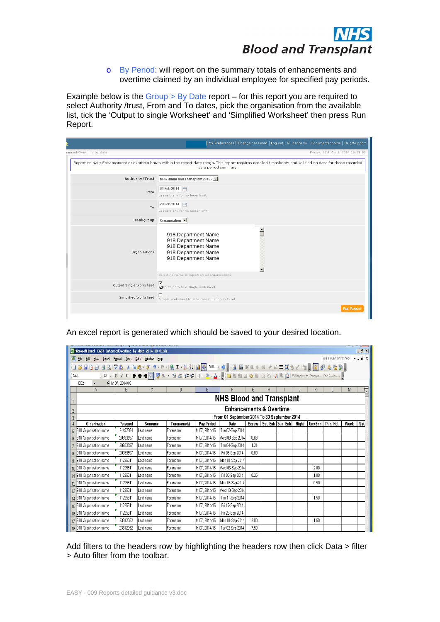

|                                                                                                                                                                                     | │ My Preferences   Change password   Log out   Guidance G>   Documentation G>   Help/Support                                                                                                  |
|-------------------------------------------------------------------------------------------------------------------------------------------------------------------------------------|-----------------------------------------------------------------------------------------------------------------------------------------------------------------------------------------------|
| ianced/Overtime by date                                                                                                                                                             | Friday, 21st March 2014 16:21:0                                                                                                                                                               |
| Authority/Trust: NHS Blood and Transplant (918)                                                                                                                                     | Report on daily Enhancement or overtime hours within the report date range. This report requires detailed timesheets and will find no data for those recorded $\, \,$<br>as a period summary. |
| From: $\boxed{01 \text{ Feb } 2014}$<br>Leave blank for no lower limit.                                                                                                             |                                                                                                                                                                                               |
| $T_{\rm O}$ : 28 Feb 2014<br>Leave blank for no upper limit.                                                                                                                        |                                                                                                                                                                                               |
| Breakgroup: $\boxed{\text{Organisation} \cdot \text{ }}$                                                                                                                            |                                                                                                                                                                                               |
| 918 Department Name<br>918 Department Name<br>918 Department Name<br>918 Department Name<br>Organisations:<br>918 Department Name<br>Select no items to report on all organisations |                                                                                                                                                                                               |
| Output Single Worksheet: $\frac{1}{\Phi}$ of the data to a single worksheet                                                                                                         |                                                                                                                                                                                               |
| Simplified Worksheet: Simple worksheet to aide manipulation in Excel                                                                                                                |                                                                                                                                                                                               |
|                                                                                                                                                                                     | Run Report                                                                                                                                                                                    |

| <b>DIUUU diiu Tidiispidiit</b>                                                                                                                                                                                                                                                  |  |
|---------------------------------------------------------------------------------------------------------------------------------------------------------------------------------------------------------------------------------------------------------------------------------|--|
| o By Period: will report on the summary totals of enhancements and<br>overtime claimed by an individual employee for specified pay periods.                                                                                                                                     |  |
| Example below is the $Group > By$ Date report – for this report you are required to<br>select Authority /trust, From and To dates, pick the organisation from the available<br>list, tick the 'Output to single Worksheet' and 'Simplified Worksheet' then press Run<br>Report. |  |
| My Preferences   Change password   Log out   Guidance G→   Documentation G→   Help/Support                                                                                                                                                                                      |  |
| nced/Overtime by date<br>Friday, 21st March 2014 16:21:0                                                                                                                                                                                                                        |  |
| Report on daily Enhancement or overtime hours within the report date range. This report requires detailed timesheets and will find no data for those recorded<br>as a period summary                                                                                            |  |
| Authority/Trust: NHS Blood and Transplant (918) -                                                                                                                                                                                                                               |  |
| 01 Feb 2014<br>From:<br>Leave blank for no lower limit.                                                                                                                                                                                                                         |  |
| 28 Feb 2014<br>To:                                                                                                                                                                                                                                                              |  |
| Leave blank for no upper limit.                                                                                                                                                                                                                                                 |  |
| Breakgroup: Organisation -                                                                                                                                                                                                                                                      |  |
| 918 Department Name<br>918 Department Name                                                                                                                                                                                                                                      |  |
| 918 Department Name<br>918 Department Name<br>Organisations:                                                                                                                                                                                                                    |  |
| 918 Department Name                                                                                                                                                                                                                                                             |  |
| Select no items to report on all organisations                                                                                                                                                                                                                                  |  |
| $\overline{\mathbf{v}}$<br>Output Single Worksheet:<br>Øtputs data to a single worksheet                                                                                                                                                                                        |  |
| Simplified Worksheet: Simple worksheet to aide manipulation in Excel                                                                                                                                                                                                            |  |
| An excel report is generated which should be saved to your desired location.<br>يستندر للمتحلق<br>$\frac{10}{2}$<br>Microsoft Excel - EASY_EnhancedOvertime_by_date_2014_10_01.xls                                                                                              |  |
| Type a question for help $\rightarrow$ $\equiv$ $\mathbf{B} \times$<br>Data Window Help<br>:DBBBBCFXXXBB-719-0-185-111000000 -0, BONDOOXXI+L=XV/12, BOOBBB,                                                                                                                     |  |
| <b>Arial</b>                                                                                                                                                                                                                                                                    |  |
| E52 $\star$ $\star$ M 07, 2014/15<br>E F G H I J K L M<br>A                                                                                                                                                                                                                     |  |
| <b>NHS Blood and Transplant</b>                                                                                                                                                                                                                                                 |  |
| <b>Enhancements &amp; Overtime</b>                                                                                                                                                                                                                                              |  |
| From 01 September 2014 To 30 September 2014<br>Personal Surname Forename(s) Pay Period Date Excess Sat. Enh Sun. Enh Night Uns Enh Pub. Hol.   Week Sat.<br>Organisation                                                                                                        |  |
| 24492884 Last name<br>M 07, 2014/15   Tue 02-Sep-2014  <br>918 Organisation name<br>Forename                                                                                                                                                                                    |  |
| 20933597   Last name<br>M 07, 2014/15   Wed 03-Sep-2014   0.63  <br>918 Organisation name<br>Forename<br>M 07, 2014/15   Thu 04-Sep-2014   1.21<br>20933597   Last name<br>918 Organisation name<br>Forename                                                                    |  |
| M 07, 2014/15   Fri 05-Sep-2014   0.80<br>20933597   Last name<br>Forename<br>918 Organisation name                                                                                                                                                                             |  |
| 11225811 Last name<br>M 07, 2014/15 Mon 01-Sep-2014<br>918 Organisation name<br>Forename<br>11225811 Last name<br>M 07, 2014/15   Wed 03-Sep-2014<br>2.00<br>918 Organisation name<br>Forename                                                                                  |  |
| 11225811 Last name<br>M 07, 2014/15   Fri 05-Sep-2014   0.25<br>Forename<br>$1.00 -$<br>918 Organisation name                                                                                                                                                                   |  |
| M 07, 2014/15 Mon 08-Sep-2014<br>11225811 Last name<br>0.50<br>918 Organisation name<br>Forename<br>11225811 Last name<br>M 07, 2014/15 Wed 10-Sep-2014<br>918 Organisation name<br>Forename                                                                                    |  |
| M 07, 2014/15   Thu 11-Sep-2014  <br>11225811 Last name<br>1.50<br>14 918 Organisation name<br>Forename                                                                                                                                                                         |  |
| M 07, 2014/15   Fri 19-Sep-2014  <br>11225811 Last name<br>Forename<br>5 918 Organisation name<br>M 07, 2014/15   Fri 26-Sep-2014  <br>11225811 Last name<br>918 Organisation name ا<br>Forename                                                                                |  |
| M 07, 2014/15 Mon 01-Sep-2014 2.00<br>23312052   Last name<br>1.50<br>17 918 Organisation name<br>Forename                                                                                                                                                                      |  |
| M 07, 2014/15   Tue 02-Sep-2014   7.50<br>23312052 Last name<br>18 918 Organisation name<br>Forename                                                                                                                                                                            |  |
| Add filters to the headers row by highlighting the headers row then click Data > filter<br>> Auto filter from the toolbar.                                                                                                                                                      |  |
|                                                                                                                                                                                                                                                                                 |  |
| EASY - 009 Reports detailed guidance v3.doc                                                                                                                                                                                                                                     |  |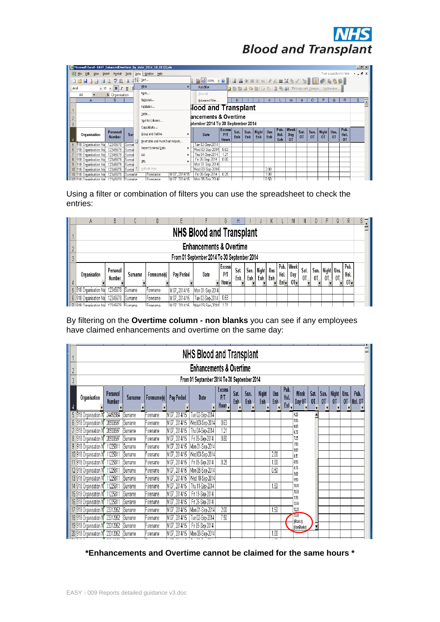

| Microsoft Excel - EASY_EnhancedOvertime_by_date_2014_10_01 (2).xls |                                   |         |                    |                                  |              |                                                                |                     |      |     |                                                                        |      |              |                    |      |      |       |                |                          | $-12$       |
|--------------------------------------------------------------------|-----------------------------------|---------|--------------------|----------------------------------|--------------|----------------------------------------------------------------|---------------------|------|-----|------------------------------------------------------------------------|------|--------------|--------------------|------|------|-------|----------------|--------------------------|-------------|
| File Edit View Insert Format Tools                                 |                                   |         |                    | Data Window Help                 |              |                                                                |                     |      |     |                                                                        |      |              |                    |      |      |       |                | Type a question for help | $-B \times$ |
| <b>HAABATA</b>                                                     |                                   |         | $\frac{A}{Z}$ Sort |                                  |              | 仙不100% · ⊙ . 31 11 01 01 ※ ※   + ← = X ½ / 1 2 . 3 5 4 4 5 5 2 |                     |      |     |                                                                        |      |              |                    |      |      |       |                |                          |             |
| Arial                                                              | $\cdot$ 10 $\cdot$ <b>B</b> $I$ U |         | Filter             |                                  |              | AutoFilter                                                     |                     |      |     | <b>Q to to @ \@   3 \   3 \ @</b> @   Yv'Reply with Changes End Review |      |              |                    |      |      |       |                |                          |             |
| AA                                                                 | fx Organisation                   |         |                    | Form                             |              | Show All                                                       |                     |      |     |                                                                        |      |              |                    |      |      |       |                |                          |             |
|                                                                    | в                                 |         |                    | Subtotals                        |              | Advanced Filter                                                |                     |      |     |                                                                        |      |              |                    |      |      |       |                | R                        | s           |
|                                                                    |                                   |         |                    | Validation                       |              | <b>lood and Transplant</b>                                     |                     |      |     |                                                                        |      |              |                    |      |      |       |                |                          |             |
|                                                                    |                                   |         |                    | Table                            |              | ancements & Overtime                                           |                     |      |     |                                                                        |      |              |                    |      |      |       |                |                          |             |
|                                                                    |                                   |         |                    | Text to Columns                  |              |                                                                |                     |      |     |                                                                        |      |              |                    |      |      |       |                |                          |             |
|                                                                    |                                   |         |                    |                                  |              |                                                                |                     |      |     |                                                                        |      |              |                    |      |      |       |                |                          |             |
|                                                                    |                                   |         |                    | Consolidate                      |              | ptember 2014 To 30 September 2014                              |                     |      |     |                                                                        |      |              |                    |      |      |       |                |                          |             |
| Organisation                                                       | Personal                          | Sur     |                    | Group and Outline                |              | Date                                                           | <b>Excess</b><br>PЛ | Sat. |     | Sun. Night Uns                                                         |      | Pub.<br>Hol. | <b>Week</b><br>Day | Sat. | Sun. | Night | Uns.           | Pub.<br>Hol.             |             |
|                                                                    | <b>Number</b>                     |         |                    | PivotTable and PivotChart Report |              |                                                                | <b>Hours</b>        | Enh  | Enh | Enh                                                                    | Enh  | <b>Enh</b>   | 0T                 | 0T   | 0T   | 0T    | 0 <sub>T</sub> | 0T                       |             |
| 918 Organisation Na                                                | 12345678                          | Surnar  |                    |                                  |              | Tue 02-Sep-2014                                                |                     |      |     |                                                                        |      |              |                    |      |      |       |                |                          |             |
| 918 Organisation Na                                                | 12345678                          | Surnai  |                    | Import External Data             |              | Wed 03-Sep-2014                                                | 0.63                |      |     |                                                                        |      |              |                    |      |      |       |                |                          |             |
| 918 Organisation Na                                                | 12345678                          | Surnai  | List               |                                  |              | Thu 04-Sep-2014                                                | 1.21                |      |     |                                                                        |      |              |                    |      |      |       |                |                          |             |
| 918 Organisation Na                                                | 12345678                          | Surnai  |                    |                                  |              | Fri 05-Sep-2014                                                | 0.80                |      |     |                                                                        |      |              |                    |      |      |       |                |                          |             |
| 918 Organisation Na<br>9                                           | 12345678                          | Surnai  | XML                |                                  |              | Mon 01-Sep-2014                                                |                     |      |     |                                                                        |      |              |                    |      |      |       |                |                          |             |
| 10 918 Organisation Na                                             | 12345678                          | Surnai  |                    | Refresh Data                     |              | Wed 03-Sep-2014                                                |                     |      |     |                                                                        | 2.00 |              |                    |      |      |       |                |                          |             |
| 918 Organisation Na                                                | 12345678                          | Surname |                    | <b>IForename</b>                 | M 07.2014/15 | Fri 05-Sep-2014                                                | 0.25                |      |     |                                                                        | 1.00 |              |                    |      |      |       |                |                          |             |

|   |                     |                    |           | D           |               |                                                                                   | G                                        | н           |              |              |            |               | M                          | N           |            | p.                           | u  | R                   | S. |
|---|---------------------|--------------------|-----------|-------------|---------------|-----------------------------------------------------------------------------------|------------------------------------------|-------------|--------------|--------------|------------|---------------|----------------------------|-------------|------------|------------------------------|----|---------------------|----|
|   |                     |                    |           |             |               | <b>NHS Blood and Transplant</b>                                                   |                                          |             |              |              |            |               |                            |             |            |                              |    |                     |    |
|   |                     |                    |           |             |               | <b>Enhancements &amp; Overtime</b><br>From 01 September 2014 To 30 September 2014 |                                          |             |              |              |            |               |                            |             |            |                              |    |                     |    |
|   |                     |                    |           |             |               |                                                                                   |                                          |             |              |              |            |               |                            |             |            |                              |    |                     |    |
|   | Organisation        | Personal<br>Number | Surname   | Forenameísi | Pay Period    | Date                                                                              | <b>Excess</b><br>PЛ<br>Hour <del>.</del> | Sat.<br>Enh | Sun.<br>Enb. | Night<br>Enh | Uns<br>Enb | Hol.<br>Enl v | Pub. Week<br>Day<br>$01 -$ | Sat.<br>OT. | Sun.<br>0T | Night Uns.<br>0 <sub>T</sub> | 0T | Pub.<br>Hol.<br>01, |    |
| 5 | 918 Organisation Na | 12345678           | Sumame    | Forename    | M 07, 2014/15 | Mon 01-Sep-2014                                                                   |                                          |             |              |              |            |               |                            |             |            |                              |    |                     |    |
|   | 918 Organisation Na | 12345678           | l Surname | lForename   | M 07, 2014/15 | Tue 02-Sep-2014                                                                   | 0.63                                     |             |              |              |            |               |                            |             |            |                              |    |                     |    |
|   | (018 Organication   | 103/5678           | Rumama    | Forenome    | 2014/15       | Worl N. Ron, 2014                                                                 |                                          |             |              |              |            |               |                            |             |            |                              |    |                     |    |

|                                                                                   |                                                                                   |                                                        |                                                                              |                                                                                              |                                                                                                                  |                                                                                                                                                                                                                                                                                                                                                             |                                 |                                                                 |                                                      |                                                                                                                                                                               | <b>DIUUU diiu Tidiispidiit</b>                                                                                               |
|-----------------------------------------------------------------------------------|-----------------------------------------------------------------------------------|--------------------------------------------------------|------------------------------------------------------------------------------|----------------------------------------------------------------------------------------------|------------------------------------------------------------------------------------------------------------------|-------------------------------------------------------------------------------------------------------------------------------------------------------------------------------------------------------------------------------------------------------------------------------------------------------------------------------------------------------------|---------------------------------|-----------------------------------------------------------------|------------------------------------------------------|-------------------------------------------------------------------------------------------------------------------------------------------------------------------------------|------------------------------------------------------------------------------------------------------------------------------|
|                                                                                   |                                                                                   | time by date 2014 10 01(2).x<br>Data Window            |                                                                              |                                                                                              |                                                                                                                  |                                                                                                                                                                                                                                                                                                                                                             |                                 |                                                                 |                                                      |                                                                                                                                                                               | <u>니라지</u><br>Type a question for help $\overline{\phantom{a}}$ = $\overline{\phantom{a}}$ $\times$ $\overline{\phantom{a}}$ |
|                                                                                   | $\frac{1}{2}$ $\frac{1}{2}$ Sort.                                                 |                                                        |                                                                              |                                                                                              |                                                                                                                  |                                                                                                                                                                                                                                                                                                                                                             |                                 |                                                                 |                                                      |                                                                                                                                                                               |                                                                                                                              |
|                                                                                   | Eiter<br>$\bullet$ 10 $\bullet$ <b>B</b> $I$ <b>U</b><br>Form.<br>fx Organisation |                                                        | $\begin{array}{c c}\n\hline\n\end{array}$ AutoEilter<br>Show All             |                                                                                              | <b>k</b> to a <b>c k</b> $ \mathcal{B} \times \mathbf{R} $ <b>d i</b> (a) <b>W</b> Reply with Changes End Review |                                                                                                                                                                                                                                                                                                                                                             |                                 |                                                                 |                                                      |                                                                                                                                                                               |                                                                                                                              |
|                                                                                   |                                                                                   | Subtotals.<br>Validation.                              | Advanced Filter<br><b>Rood and Transplant</b>                                |                                                                                              | H   I   J   K   L   M   N   O   P   Q   R                                                                        |                                                                                                                                                                                                                                                                                                                                                             |                                 |                                                                 |                                                      |                                                                                                                                                                               |                                                                                                                              |
|                                                                                   |                                                                                   | Table                                                  | ancements & Overtime                                                         |                                                                                              |                                                                                                                  |                                                                                                                                                                                                                                                                                                                                                             |                                 |                                                                 |                                                      |                                                                                                                                                                               |                                                                                                                              |
|                                                                                   |                                                                                   | Text to Columns.<br>Consolidate                        | ptember 2014 To 30 September 2014                                            | $\vert$ Excess $\vert$                                                                       |                                                                                                                  |                                                                                                                                                                                                                                                                                                                                                             |                                 |                                                                 |                                                      |                                                                                                                                                                               |                                                                                                                              |
| Organisation                                                                      | Personal<br>lumber                                                                | Group and Outline<br>PivotTable and PivotChart Report. | Date                                                                         | P/T<br>$\frac{1}{1}$ Hours                                                                   | Sat. Sun. Night Uns  <br>Enh Enh Enh Enh                                                                         |                                                                                                                                                                                                                                                                                                                                                             | Pub. Week<br>Hol. Day<br>Enh OT | Sat.<br>OT                                                      |                                                      | $\begin{array}{ c c c c c }\n\hline\n\text{Sun.} & \text{Night} & \text{Uns.} & \text{Hol.} \\ \hline\n\text{OT} & \text{OT} & \text{OT} & \text{OT.} \\ \hline\n\end{array}$ | $_{0}$                                                                                                                       |
| 1918 Organisation Na<br>918 Organisation Na                                       | 2345678<br>12345678 Surnal                                                        | Import External <u>D</u> ata                           | Tue 02-Sep-2014  <br>Wed 03-Sep-2014 0.63<br>Thu 04-Sep-2014 1.21            |                                                                                              |                                                                                                                  |                                                                                                                                                                                                                                                                                                                                                             |                                 |                                                                 |                                                      |                                                                                                                                                                               |                                                                                                                              |
| 918 Organisation Na<br>918 Organisation Na<br>918 Organisation Na 12345678        | 2345678<br>Sumar<br>12345678<br>Surnai<br>XML<br>Surnal                           |                                                        | Fri 05-Sep-2014   0.80<br>Mon 01-Sep-2014                                    |                                                                                              |                                                                                                                  |                                                                                                                                                                                                                                                                                                                                                             |                                 |                                                                 |                                                      |                                                                                                                                                                               |                                                                                                                              |
| 918 Organisation Na<br>1 918 Organisation Na 12345678 Surname                     | 12345678 Surnal                                                                   | Forename                                               | Wed 03-Sep-2014<br>M07, 2014/15    Fri 05-Sep-2014    0.25                   |                                                                                              |                                                                                                                  |                                                                                                                                                                                                                                                                                                                                                             |                                 |                                                                 |                                                      |                                                                                                                                                                               |                                                                                                                              |
|                                                                                   |                                                                                   |                                                        | M.07 2014/15 Mon.08-Sen-2014                                                 |                                                                                              |                                                                                                                  |                                                                                                                                                                                                                                                                                                                                                             |                                 |                                                                 |                                                      |                                                                                                                                                                               |                                                                                                                              |
| Using a filter or combination of filters you can use the spreadsheet to check the |                                                                                   |                                                        |                                                                              |                                                                                              |                                                                                                                  |                                                                                                                                                                                                                                                                                                                                                             |                                 |                                                                 |                                                      |                                                                                                                                                                               |                                                                                                                              |
| entries:                                                                          |                                                                                   |                                                        |                                                                              |                                                                                              |                                                                                                                  |                                                                                                                                                                                                                                                                                                                                                             |                                 |                                                                 |                                                      |                                                                                                                                                                               |                                                                                                                              |
|                                                                                   |                                                                                   |                                                        |                                                                              |                                                                                              | −H.                                                                                                              | I J K L I M                                                                                                                                                                                                                                                                                                                                                 |                                 |                                                                 |                                                      | $\begin{array}{c c c c c} \hline \end{array}$                                                                                                                                 |                                                                                                                              |
|                                                                                   |                                                                                   |                                                        | <b>NHS Blood and Transplant</b>                                              |                                                                                              |                                                                                                                  |                                                                                                                                                                                                                                                                                                                                                             |                                 |                                                                 |                                                      |                                                                                                                                                                               |                                                                                                                              |
|                                                                                   |                                                                                   |                                                        | <b>Enhancements &amp; Overtime</b>                                           |                                                                                              |                                                                                                                  |                                                                                                                                                                                                                                                                                                                                                             |                                 |                                                                 |                                                      |                                                                                                                                                                               |                                                                                                                              |
|                                                                                   |                                                                                   |                                                        | From 01 September 2014 To 30 September 2014                                  |                                                                                              |                                                                                                                  |                                                                                                                                                                                                                                                                                                                                                             |                                 |                                                                 |                                                      |                                                                                                                                                                               |                                                                                                                              |
|                                                                                   | Jersonal                                                                          |                                                        |                                                                              | Excess                                                                                       | Sat.                                                                                                             |                                                                                                                                                                                                                                                                                                                                                             |                                 |                                                                 |                                                      |                                                                                                                                                                               |                                                                                                                              |
| Organisation                                                                      | Number                                                                            | Surname   Forename(s)   Pay Period                     | Date                                                                         | P/T<br>$ $ Hour $\overline{\phantom{a}}$                                                     | <b>Enh</b>                                                                                                       | $\begin{tabular}{c c c c c} \hline \hspace{0.3cm} \text{sun} & \hspace{0.3cm} \text{Night} & \hspace{0.3cm} \text{Uns} & \hspace{0.3cm} \text{non} \\ \hline \hspace{0.3cm} \text{Enh}_\bullet & \hspace{0.3cm} \text{Enh}_\bullet & \hspace{0.3cm} \text{Enh}_\bullet & \hspace{0.3cm} \text{On} & \hspace{0.3cm} \text{Our} \hspace{0.3cm} \end{tabular}$ |                                 |                                                                 | Sat.   Sun.   Night   Uns.  <br>  OT_  OT_  OT_  OT_ |                                                                                                                                                                               | Hol.<br>$01-$                                                                                                                |
| 5 918 Organisation Na 12345678 Surname                                            |                                                                                   | Forename                                               | M 07, 2014/15 Mon 01-Sep-2014                                                |                                                                                              |                                                                                                                  |                                                                                                                                                                                                                                                                                                                                                             |                                 |                                                                 |                                                      |                                                                                                                                                                               |                                                                                                                              |
| 6 918 Organisation Na 12345678 Surname<br>7 918 Orranication Na 17345878 Rumama   |                                                                                   | Forename<br>Foranama                                   | M 07, 2014/15   Tue 02-Sep-2014   0.63<br>M 07-2014/15 M/od 03.Son.2014 1-21 |                                                                                              |                                                                                                                  |                                                                                                                                                                                                                                                                                                                                                             |                                 |                                                                 |                                                      |                                                                                                                                                                               |                                                                                                                              |
|                                                                                   |                                                                                   |                                                        |                                                                              |                                                                                              |                                                                                                                  |                                                                                                                                                                                                                                                                                                                                                             |                                 |                                                                 |                                                      |                                                                                                                                                                               |                                                                                                                              |
| By filtering on the Overtime column - non blanks you can see if any employees     |                                                                                   |                                                        |                                                                              |                                                                                              |                                                                                                                  |                                                                                                                                                                                                                                                                                                                                                             |                                 |                                                                 |                                                      |                                                                                                                                                                               |                                                                                                                              |
| have claimed enhancements and overtime on the same day:                           |                                                                                   |                                                        |                                                                              |                                                                                              |                                                                                                                  |                                                                                                                                                                                                                                                                                                                                                             |                                 |                                                                 |                                                      |                                                                                                                                                                               |                                                                                                                              |
|                                                                                   |                                                                                   |                                                        | <b>NHS Blood and Transplant</b>                                              |                                                                                              |                                                                                                                  |                                                                                                                                                                                                                                                                                                                                                             |                                 |                                                                 |                                                      |                                                                                                                                                                               |                                                                                                                              |
|                                                                                   |                                                                                   |                                                        |                                                                              |                                                                                              |                                                                                                                  |                                                                                                                                                                                                                                                                                                                                                             |                                 |                                                                 |                                                      |                                                                                                                                                                               |                                                                                                                              |
|                                                                                   |                                                                                   |                                                        | <b>Enhancements &amp; Overtime</b>                                           |                                                                                              |                                                                                                                  |                                                                                                                                                                                                                                                                                                                                                             |                                 |                                                                 |                                                      |                                                                                                                                                                               |                                                                                                                              |
|                                                                                   |                                                                                   |                                                        | From 01 September 2014 To 30 September 2014                                  |                                                                                              |                                                                                                                  |                                                                                                                                                                                                                                                                                                                                                             |                                 |                                                                 |                                                      |                                                                                                                                                                               |                                                                                                                              |
| Personal<br>Crganisation<br><b>Numbe</b>                                          |                                                                                   | Surname   Forename(s)   Pay Period                     | Date                                                                         | EXCESS<br>$P/\Gamma$<br>$\left  \begin{array}{c} P/I \\ \text{Hour} \end{array} \right $ Enh | Sat.                                                                                                             | Sun. Night Uns Hol. Week                                                                                                                                                                                                                                                                                                                                    |                                 |                                                                 | $\circ$ ot $\overline{\phantom{a}}$                  |                                                                                                                                                                               |                                                                                                                              |
| 5 918 Organisation N<br>6 918 Organisation I                                      | 24492884   Surname<br>20933597 Surname                                            | orename -<br>orename                                   | M 07, 2014/15   Tue 02-Sep-2014<br>M 07, 2014/15   Wed 03-Sep-2014   0.63    |                                                                                              |                                                                                                                  |                                                                                                                                                                                                                                                                                                                                                             |                                 | 4.25                                                            |                                                      |                                                                                                                                                                               |                                                                                                                              |
| 7 918 Organisation N 20933597 Surname                                             |                                                                                   | orename -                                              | M 07, 2014/15   Thu 04-Sep-2014                                              | 1.21                                                                                         |                                                                                                                  |                                                                                                                                                                                                                                                                                                                                                             |                                 | 6.75                                                            |                                                      |                                                                                                                                                                               |                                                                                                                              |
| 8 918 Organisation N 20933597 Surname<br>9 918 Organisation N 11225811 Surname    |                                                                                   | Forename<br>r orename                                  | M07, 2014/15   Fri 05-Sep-2014   0.80<br>M 07 , 2014/15   Mon 01-Sep-2014    |                                                                                              |                                                                                                                  |                                                                                                                                                                                                                                                                                                                                                             |                                 | 725                                                             |                                                      |                                                                                                                                                                               |                                                                                                                              |
| 10 918 Organisation N                                                             | 11225811 Surname                                                                  | Forename                                               | M 07, 2014/15 Wed 03-Sep-2014                                                |                                                                                              |                                                                                                                  |                                                                                                                                                                                                                                                                                                                                                             | 2.00                            | 185                                                             |                                                      |                                                                                                                                                                               |                                                                                                                              |
| 11 918 Organisation N                                                             | 11225811 Surname                                                                  | orename -                                              | M07, 2014/15   Fri 05-Sep-2014   0.25                                        |                                                                                              |                                                                                                                  |                                                                                                                                                                                                                                                                                                                                                             | $\mid$ 1.00                     | 8.50                                                            |                                                      |                                                                                                                                                                               |                                                                                                                              |
| 12 918 Organisation N<br>13 918 Organisation N                                    | 11225811 Surname<br>11225811 Surname                                              | r orename<br>r orename                                 | M 07, 2014/15   Mon 08-Sep-201-<br>M 07, 2014/15 Wed 10-Sep-2014             |                                                                                              |                                                                                                                  |                                                                                                                                                                                                                                                                                                                                                             | 0.50                            | 1950                                                            |                                                      |                                                                                                                                                                               |                                                                                                                              |
| 14 918 Organisation N                                                             | 11225811 Surname                                                                  | orename                                                | M 07, 2014/15   Thu 11-Sep-2014                                              |                                                                                              |                                                                                                                  |                                                                                                                                                                                                                                                                                                                                                             | 1.50                            | 10.00<br>1 10.50                                                |                                                      |                                                                                                                                                                               |                                                                                                                              |
| 15 918 Organisation N<br>16 918 Organisation N                                    | 11225811 Surname<br>11225811 Surname                                              | -orename<br>orename -                                  | M 07, 2014/15   Fri 19-Sep-2014<br>M 07, 2014/15   Fri 26-Sep-2014           |                                                                                              |                                                                                                                  |                                                                                                                                                                                                                                                                                                                                                             |                                 |                                                                 |                                                      |                                                                                                                                                                               |                                                                                                                              |
| 17 918 Organisation N                                                             | 23312052 Surname                                                                  | r orename                                              | M 07, 2014/15   Mon 01-Sep-2014   2.00                                       |                                                                                              |                                                                                                                  |                                                                                                                                                                                                                                                                                                                                                             | 1.50                            | 1200<br>1225                                                    |                                                      |                                                                                                                                                                               |                                                                                                                              |
| 18 918 Organisation N                                                             | 23312052 Sumame                                                                   | -orename                                               | M 07, 2014/15   Tue 02-Sep-2014   7.50                                       |                                                                                              |                                                                                                                  |                                                                                                                                                                                                                                                                                                                                                             |                                 | $\begin{array}{r} 13.00 \\[-4pt] \textbf{(Blanks)} \end{array}$ |                                                      |                                                                                                                                                                               |                                                                                                                              |
| 19 918 Organisation N<br>20 918 Organisation N                                    | 23312052 Sumame<br>23312052 Sumame                                                | orename<br>orename -                                   | M 07, 2014/15   Fri 05-Sep-2014<br>M 07, 2014/15 Mon 08-Sep-2014             |                                                                                              |                                                                                                                  |                                                                                                                                                                                                                                                                                                                                                             |                                 | NonBlanks                                                       |                                                      |                                                                                                                                                                               |                                                                                                                              |
|                                                                                   |                                                                                   |                                                        |                                                                              |                                                                                              |                                                                                                                  |                                                                                                                                                                                                                                                                                                                                                             |                                 |                                                                 |                                                      |                                                                                                                                                                               |                                                                                                                              |
|                                                                                   | *Enhancements and Overtime cannot be claimed for the same hours *                 |                                                        |                                                                              |                                                                                              |                                                                                                                  |                                                                                                                                                                                                                                                                                                                                                             |                                 |                                                                 |                                                      |                                                                                                                                                                               |                                                                                                                              |
|                                                                                   |                                                                                   |                                                        |                                                                              |                                                                                              |                                                                                                                  |                                                                                                                                                                                                                                                                                                                                                             |                                 |                                                                 |                                                      |                                                                                                                                                                               |                                                                                                                              |
|                                                                                   |                                                                                   |                                                        |                                                                              |                                                                                              |                                                                                                                  |                                                                                                                                                                                                                                                                                                                                                             |                                 |                                                                 |                                                      |                                                                                                                                                                               |                                                                                                                              |
|                                                                                   |                                                                                   |                                                        |                                                                              |                                                                                              |                                                                                                                  |                                                                                                                                                                                                                                                                                                                                                             |                                 |                                                                 |                                                      |                                                                                                                                                                               |                                                                                                                              |
| EASY - 009 Reports detailed guidance v3.doc                                       |                                                                                   |                                                        |                                                                              |                                                                                              |                                                                                                                  |                                                                                                                                                                                                                                                                                                                                                             |                                 |                                                                 |                                                      |                                                                                                                                                                               |                                                                                                                              |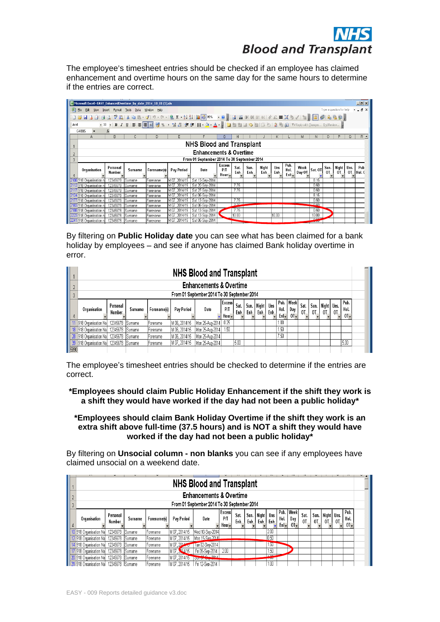| <b>DIUUU dilu Tidiispidiit</b>                                                                                                                                                                                                                                                                                                                                                                                                                                                                                                                                                                                                                                                                                                                                                                                                                                                                                                                                                                                                                                                                                                                                                                                                                                                                                                                                                                                                                                                                                                                                                  |  |
|---------------------------------------------------------------------------------------------------------------------------------------------------------------------------------------------------------------------------------------------------------------------------------------------------------------------------------------------------------------------------------------------------------------------------------------------------------------------------------------------------------------------------------------------------------------------------------------------------------------------------------------------------------------------------------------------------------------------------------------------------------------------------------------------------------------------------------------------------------------------------------------------------------------------------------------------------------------------------------------------------------------------------------------------------------------------------------------------------------------------------------------------------------------------------------------------------------------------------------------------------------------------------------------------------------------------------------------------------------------------------------------------------------------------------------------------------------------------------------------------------------------------------------------------------------------------------------|--|
| The employee's timesheet entries should be checked if an employee has claimed<br>enhancement and overtime hours on the same day for the same hours to determine<br>if the entries are correct.                                                                                                                                                                                                                                                                                                                                                                                                                                                                                                                                                                                                                                                                                                                                                                                                                                                                                                                                                                                                                                                                                                                                                                                                                                                                                                                                                                                  |  |
| I <br>Microsoft Excel - EASY EnhancedOvertime by date 2014 10 01 (1).xls<br>$   +$ $\times$<br>Type a question for help<br>  9 - 0 - 1 3 E - 2   3   10 4 5 95% - 0 , 8   10 0 1 0 1 31 31   + + + = X 3 / 1 12 , 8 1 3 5 1 4 6 1 2<br>G4885 $\sqrt{x}$<br>  G   H   I   J   K   L   M   N   O   P   Q  <br><b>NHS Blood and Transplant</b><br><b>Enhancements &amp; Overtime</b><br>From 01 September 2014 To 30 September 2014<br>Excess  <br>$\begin{bmatrix} \text{Sat} \\ \text{Ent}_{\bullet} \end{bmatrix} \begin{bmatrix} \text{Sun.} \\ \text{Emb}_{\bullet} \end{bmatrix} \begin{bmatrix} \text{Hyh} \\ \text{Emb}_{\bullet} \end{bmatrix} \begin{bmatrix} \text{Pub.} \\ \text{Hoh}_{\bullet} \end{bmatrix} \begin{bmatrix} \text{Webk} \\ \text{Day } \text{OT}_{\bullet} \end{bmatrix} \begin{bmatrix} \text{Sun.} \\ \text{OT}_{\bullet} \end{bmatrix} \begin{bmatrix} \text{Uns.} \\ \text{Pub.} \end{bmatrix} \begin{bmatrix} \text{Pub.} \\ \text{Phb.} \end{bmatrix}$<br>Personal<br>P/T<br>Pay Period<br>Organisation<br>Surname<br>  Forename(s)  <br>Number<br>Hours.<br>imame.<br>nrename.<br>/107, 2014/15 Sat 20-Sep-2014<br>07, 2014/15   Sat 27-Sep-2014<br>0.50<br>8.15<br>Sat 06-Sep-2014<br>0.50<br>107.2014/15<br>Sat 13-Sep-2014  <br>nrename.<br>Sat 06-Sep-2014<br>$\vert$ 0.50 $\vert$<br>Sat 13-Sen-2014  <br>Forename<br>M 07.2014/15<br>10.00<br>10.00<br>  918 Organisation n   12345678   Surname   Forename   M 07, 2014/15   Sat 13-Sep-2014  <br>41918 Organisation n   12345678 Surname   Forename   M 07, 2014/15   Sat 06-Sep-2014 |  |
| By filtering on Public Holiday date you can see what has been claimed for a bank<br>holiday by employees - and see if anyone has claimed Bank holiday overtime in<br>error.                                                                                                                                                                                                                                                                                                                                                                                                                                                                                                                                                                                                                                                                                                                                                                                                                                                                                                                                                                                                                                                                                                                                                                                                                                                                                                                                                                                                     |  |
| <b>NHS Blood and Transplant</b><br><b>Enhancements &amp; Overtime</b><br>From 01 September 2014 To 30 September 2014<br>Excessi<br>'ersonal<br>PЛ<br>Organisation<br>Surname   Forename(s)   Pay Period<br>Date<br>$\left  \begin{array}{cc} \n\text{Enh} & \text{no.} & \text{vay} \\ \downarrow & \text{Enl} & \text{Ol} \end{array} \right $<br>Enh<br>$\perp$ ot<br>Number<br>Enb<br>$H$ our $\mathbf{v}$<br>1 918 Organisation Na 12345678 Surname<br>M 06, 2014/15   Mon 25-Aug-2014   0.25<br>  1.00  <br>Forename<br>M 06, 2014/15   Mon 25-Aug-2014   1.50<br> 1.50 <br>3 918 Organisation Na  12345678 Surname<br>Forename<br>7.50<br>28 918 Organisation Na 12345678 Surname<br>M 06, 2014/15 Mon 25-Aug-2014<br>Forename<br>M 07, 2014/15 Mon 25-Aug-2014<br>3   918 Organisation Na  12345678   Surname<br>Forename<br>5890<br>The employee's timesheet entries should be checked to determine if the entries are<br>correct.<br>*Employees should claim Public Holiday Enhancement if the shift they work is<br>a shift they would have worked if the day had not been a public holiday*<br>*Employees should claim Bank Holiday Overtime if the shift they work is an<br>extra shift above full-time (37.5 hours) and is NOT a shift they would have<br>worked if the day had not been a public holiday*<br>By filtering on Unsocial column - non blanks you can see if any employees have<br>claimed unsocial on a weekend date.                                                                                                                                |  |
| <b>NHS Blood and Transplant</b><br><b>Enhancements &amp; Overtime</b><br>From 01 September 2014 To 30 September 2014<br>Excess<br>  Sun.<br>Personal<br>$\mathsf{P}\mathsf{\Pi}$<br><sup>JMS</sup>   Hol.   Day  <br>:nb   Enl -   OT <del>-</del><br>Organisation<br>Surname   Forename(s)   Pay Period<br>Date<br>Enb<br>Enh<br>Number<br>Enb<br>$01-$<br>Hour <sub>v</sub><br>M 07, 2014/15 Wed 10-Sep-2014<br>918 Organisation Na 12345678 Surname<br>Forename<br>M 07, 2014/15 Mon 15-Sen-2014<br>918 Organisation Na 12345678 Surname<br>Forename<br>M 07, 2014 70 Tue 02-Sep-2014<br>4 918 Organisation Na 12345678 Surname<br>Forename<br>1.50<br>918 Organisation Na 12345678 Surname<br>M07, 144/15   Fri 05-Sep-2014   2.00<br>  1.50<br>Forename<br>918 Organisation Na 12345678 Surname<br>M 07, 2014/15<br> Forename<br>21 918 Organisation Nal 12345678 Surname<br>M 07. 2014/15   Fri 12-Sep-2014<br>Forename                                                                                                                                                                                                                                                                                                                                                                                                                                                                                                                                                                                                                                                   |  |
| EASY - 009 Reports detailed guidance v3.doc                                                                                                                                                                                                                                                                                                                                                                                                                                                                                                                                                                                                                                                                                                                                                                                                                                                                                                                                                                                                                                                                                                                                                                                                                                                                                                                                                                                                                                                                                                                                     |  |

|                            |                    |               |             |               | <b>NHS Blood and Transplant</b>             |                                     |             |              |                |                   |               |                            |            |        |                                       |                |                       |
|----------------------------|--------------------|---------------|-------------|---------------|---------------------------------------------|-------------------------------------|-------------|--------------|----------------|-------------------|---------------|----------------------------|------------|--------|---------------------------------------|----------------|-----------------------|
|                            |                    |               |             |               | <b>Enhancements &amp; Overtime</b>          |                                     |             |              |                |                   |               |                            |            |        |                                       |                |                       |
|                            |                    |               |             |               | From 01 September 2014 To 30 September 2014 |                                     |             |              |                |                   |               |                            |            |        |                                       |                |                       |
| Organisation               | Personal<br>Number | Surname       | Forenameísì | Pay Period    | Date                                        | <b>Excess</b><br>PЛ<br>Hour $\vert$ | Sat.<br>Enh | Sun.<br>Enh. | Night<br>Enh I | <b>Uns</b><br>Enb | Hol.<br>Enl – | Pub. Week<br>Day<br>$01 -$ | Sat.<br>0T | $0$ L. | Sun.   Night   Uns.<br>0 <sup>T</sup> | 0 <sup>T</sup> | Pub.<br>Hol.<br>$01-$ |
| 918 Organisation Na        | 12345678           | <b>Sumame</b> | Forename    | M 06. 2014/15 | Mon 25-Aug-2014                             | 0.25                                |             |              |                |                   | 1.00          |                            |            |        |                                       |                |                       |
| 918 Organisation Nal<br>18 | 12345678           | Sumame        | Forename    | M 06.2014/15  | Mon 25-Aug-2014                             | 1.50                                |             |              |                |                   | 1.50          |                            |            |        |                                       |                |                       |
| 918 Organisation Nal       | 12345678           | Sumame        | Forename    | M 06.2014/15  | Mon 25-Aug-2014                             |                                     |             |              |                |                   | 7.50          |                            |            |        |                                       |                |                       |
| 918 Organisation Na<br>39  | 12345678           | Sumame        | Forename    | M 07, 2014/15 | Mon 25-Aug-2014                             |                                     | 5.00        |              |                |                   |               |                            |            |        |                                       |                | 5.00                  |
| 5890                       |                    |               |             |               |                                             |                                     |             |              |                |                   |               |                            |            |        |                                       |                |                       |

|                                             | <b>CM</b>                                                             |                           |         |             |               |                  |                                          |              |             |               |                                      |               |                            |                        |            |                           |            |                       |  |
|---------------------------------------------|-----------------------------------------------------------------------|---------------------------|---------|-------------|---------------|------------------|------------------------------------------|--------------|-------------|---------------|--------------------------------------|---------------|----------------------------|------------------------|------------|---------------------------|------------|-----------------------|--|
|                                             | <b>NHS Blood and Transplant</b><br><b>Enhancements &amp; Overtime</b> |                           |         |             |               |                  |                                          |              |             |               |                                      |               |                            |                        |            |                           |            |                       |  |
|                                             |                                                                       |                           |         |             |               |                  |                                          |              |             |               |                                      |               |                            |                        |            |                           |            |                       |  |
| From 01 September 2014 To 30 September 2014 |                                                                       |                           |         |             |               |                  |                                          |              |             |               |                                      |               |                            |                        |            |                           |            |                       |  |
|                                             | Organisation                                                          | Personal<br><b>Number</b> | Surname | Forenameísi | Pay Period    | Date             | <b>Excess</b><br>PЛ<br>Hour <sub>-</sub> | Sat.<br>Enh. | Sun.<br>Enb | Night<br>Enb_ | Uns<br>Enb.                          | Hol.<br>Enl + | Pub. Week<br>Day<br>$01 -$ | Sat.<br>0 <sub>T</sub> | Sun.<br>0T | Night  <br>0 <sup>T</sup> | Uns.<br>0T | Pub.<br>Hol.<br>$01-$ |  |
|                                             | 10 918 Organisation Nal                                               | 12345678                  | Surname | Forename    | M 07, 2014/15 | Wed 10-Sep-2014  |                                          |              |             |               | 2.00                                 |               |                            |                        |            |                           |            |                       |  |
|                                             | 12 918 Organisation Nal                                               | 12345678                  | Surname | Forename    | M 07, 2014/15 | Mon 15-Sen-2014  |                                          |              |             |               | 0.50                                 |               |                            |                        |            |                           |            |                       |  |
|                                             | 14 918 Organisation Nal                                               | 12345678                  | Surname | Forename    | M 07, 2014/15 | Tue 02-Sep-2014  |                                          |              |             |               | 1.50                                 |               |                            |                        |            |                           |            |                       |  |
|                                             | 918 Organisation Na                                                   | 12345678                  | Surname | Forename    | M 07 2344/15  | Fri 05-Sep-2014  | 2.00                                     |              |             |               | 1.50                                 |               |                            |                        |            |                           |            |                       |  |
|                                             | 20 918 Organisation Nal                                               | 12345678                  | Sumame  | Forename    | M 07.2014/15  | <b>OUTDEBURY</b> |                                          |              |             |               | 10 <sup>2</sup><br><b>CONTRACTOR</b> |               |                            |                        |            |                           |            |                       |  |
|                                             | 918 Organisation Nal                                                  | 12345678                  | Surname | lForename   | M 07.2014/15  | Fri 12-Sep-2014  |                                          |              |             |               | 1.00                                 |               |                            |                        |            |                           |            |                       |  |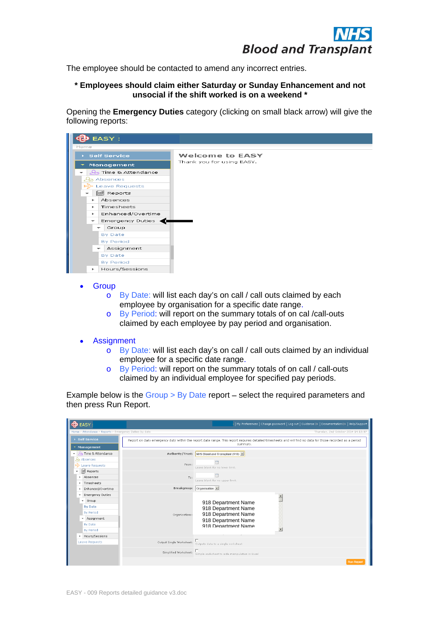

The employee should be contacted to amend any incorrect entries.

### **\* Employees should claim either Saturday or Sunday Enhancement and not unsocial if the shift worked is on a weekend \***

Opening the **Emergency Duties** category (clicking on small black arrow) will give the following reports:



- **Group and the contract of the contract of the contract of the contract of the contract of the contract of the contract of the contract of the contract of the contract of the contract of the contract of the contract of the** 
	- o By Date: will list each day's on call / call outs claimed by each employee by organisation for a specific date range.
	- o By Period: will report on the summary totals of on cal /call-outs claimed by each employee by pay period and organisation.
- Assignment
	- o By Date: will list each day's on call / call outs claimed by an individual employee for a specific date range.
	- o By Period: will report on the summary totals of on call / call-outs claimed by an individual employee for specified pay periods.

Example below is the  $Group > By$  Date report – select the required parameters and then press Run Report.

| <b>DEASY</b>                                                                                                                     | →   My Preferences   Change password   Log out   Guidance E>   Documentation E>   Help/Suppo                                                               |
|----------------------------------------------------------------------------------------------------------------------------------|------------------------------------------------------------------------------------------------------------------------------------------------------------|
| Home > Attendance > Reports > Emergency Duties by date                                                                           | Thursday, 2nd October 2014 14:13:0                                                                                                                         |
| $\rightarrow$ Self Service                                                                                                       | Report on daily emergency duty within the report date range. This report requires detailed timesheets and will find no data for those recorded as a period |
| $\blacktriangleright$ Management                                                                                                 | summary.                                                                                                                                                   |
| A Time & Attendance                                                                                                              | Authority/Trust: NHS Blood and Transplant (918)                                                                                                            |
| မြာ Absences<br>Leave Requests<br>- dl Reports                                                                                   | From:<br>Leave blank for no lower limit.                                                                                                                   |
| Absences<br>$\rightarrow$ Timesheets                                                                                             | Leave blank for no upper limit.                                                                                                                            |
| ▶ Enhanced/Overtime                                                                                                              | Breakgroup: $\boxed{\text{Organisation} \cdot \textcolor{blue}{\blacksquare}}$                                                                             |
| Emergency Duties<br>$\sqrt{\frac{1}{2}}$ Group<br>By Date<br>By Period<br>- Assignment<br>By Date<br>By Period<br>Hours/Sessions | 918 Department Name<br>918 Department Name<br>918 Department Name<br>Organisations:<br>918 Department Name<br>918 Denartment Name                          |
| Leave Requests                                                                                                                   | Output Single Worksheet:<br>Outputs data to a single worksheet                                                                                             |
|                                                                                                                                  | Simplified Worksheet:<br>Simple vorksheet to aide manipulation in Excel                                                                                    |
|                                                                                                                                  | Run Repor                                                                                                                                                  |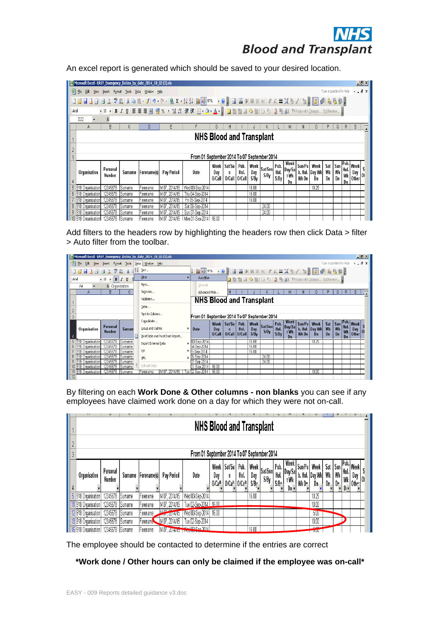| <b>DIUUU dilu Tidiispidiit</b>                                                                                                                                                                                                                                                                                                                                                                                                                                                                                                                    |  |
|---------------------------------------------------------------------------------------------------------------------------------------------------------------------------------------------------------------------------------------------------------------------------------------------------------------------------------------------------------------------------------------------------------------------------------------------------------------------------------------------------------------------------------------------------|--|
| An excel report is generated which should be saved to your desired location.                                                                                                                                                                                                                                                                                                                                                                                                                                                                      |  |
| Microsoft Excel - EASY_Emergency_Duties_by_date_2014_10_02 (3).xls<br>$\Box$ ulxi                                                                                                                                                                                                                                                                                                                                                                                                                                                                 |  |
| Type a question for help $\rightarrow$ $\equiv$ $\rightarrow$ $\equiv$ $\rightarrow$ $\sim$<br>File Edit View Insert Format Tools Data Window Help                                                                                                                                                                                                                                                                                                                                                                                                |  |
|                                                                                                                                                                                                                                                                                                                                                                                                                                                                                                                                                   |  |
| •10 • BI U   三三三国   59 % , 28 パ   年年   田 • タ • ▲ •   20 カ 11 コ ウ 21   ラ ろ   カ 日 白   VReply with Changes End Review<br>Arial                                                                                                                                                                                                                                                                                                                                                                                                                       |  |
| D22 $\bullet$ fx<br>$-B$<br>A I<br>G   H   I   J   K   L   M   N   O   P   Q   R   S<br>- E -                                                                                                                                                                                                                                                                                                                                                                                                                                                     |  |
| <b>NHS Blood and Transplant</b>                                                                                                                                                                                                                                                                                                                                                                                                                                                                                                                   |  |
|                                                                                                                                                                                                                                                                                                                                                                                                                                                                                                                                                   |  |
| From 01 September 2014 To 07 September 2014                                                                                                                                                                                                                                                                                                                                                                                                                                                                                                       |  |
| Week   Sat/Su   Pub.<br>Week<br>$\kappa$ Sat/Sun Pub. Week Sat Sun Public Sat Sun Public Sun Hub. Day Sat Sun Public Sun Hub. Day Sat Sun Public Suppliers Suppliers Suppliers Suppliers Suppliers Suppliers Suppliers Suppliers Suppliers Suppliers Suppliers S<br>Personal<br>$\begin{bmatrix} 1 & 1 & 1 \\ 0 & 1 & 1 \\ 0 & 0 & 0 \end{bmatrix}$ Hol. $\begin{bmatrix} 1 & 1 & 1 \\ 0 & 0 \\ 0 & 0 & 0 \end{bmatrix}$<br>Surname   Forename(s)   Pay Period<br>Date<br>$\begin{vmatrix} Day \\ O/Call \end{vmatrix}$<br>Organisation<br>Number |  |
| 918 Organisation<br>07.2014/15   Wed 03-Sep-2014<br> Forename  <br>Sumame                                                                                                                                                                                                                                                                                                                                                                                                                                                                         |  |
| Thu 04-Sep-2014<br>318 Organisat<br>2014/15  <br>ìumame :<br>Forename<br>918 Organisation<br>M 07, 2014/15   Fri 05-Sep-2014<br>16.00 -<br>2345678   Sumame  <br>Forename                                                                                                                                                                                                                                                                                                                                                                         |  |
| Sat 06-Sep-2014<br>918 Organisation<br>lSumame .<br>2014/15<br>345678<br>Forename                                                                                                                                                                                                                                                                                                                                                                                                                                                                 |  |
| 12345678 Sumame<br>  07. 2014/15   Sun 07-Sep-2014<br>918 Organisation<br>Forename<br>10 918 Organisation   12345678 Sumame   Forename<br>M 07. 2014/15   Mon 01-Sep-2014   16.00                                                                                                                                                                                                                                                                                                                                                                 |  |
| Add filters to the headers row by highlighting the headers row then click Data > filter<br>> Auto filter from the toolbar.                                                                                                                                                                                                                                                                                                                                                                                                                        |  |
| EASY_Emergency_Duties_by_date_2014_10_02 (3).xl<br><u>니라지</u>                                                                                                                                                                                                                                                                                                                                                                                                                                                                                     |  |
| Type a question for help $\rightarrow$ $\equiv$ $\blacksquare$ $\blacktriangleright$ $\blacktriangleright$<br>Tools   Data   Window Help                                                                                                                                                                                                                                                                                                                                                                                                          |  |
| コンコマ ワ ラ マ ワ マ 町   X 日2   Sort…<br><b>E</b> iter<br>$\cdot$ 10 $\cdot$ <b>B</b> $I$ <b>U</b><br>AutoFilter<br><b>E LEE &amp; A C</b> 3 6 3 8 8 8 V Peply with Changes End Review                                                                                                                                                                                                                                                                                                                                                                  |  |
| Form<br>Show All<br>A4 T fx Organisation<br>R<br>Subtotals.<br> H   I   J   K   L   M   N   O   P   Q   R   S<br>Advanced Filter.                                                                                                                                                                                                                                                                                                                                                                                                                 |  |
| <b>NHS Blood and Transplant</b><br>Validation.                                                                                                                                                                                                                                                                                                                                                                                                                                                                                                    |  |
| Iable<br>Text to Columns                                                                                                                                                                                                                                                                                                                                                                                                                                                                                                                          |  |
| From 01 September 2014 To 07 September 2014<br>Consolidate                                                                                                                                                                                                                                                                                                                                                                                                                                                                                        |  |
| $\begin{array}{ c c }\n\hline\n\text{Week} & \text{Day/Sa} \\ \hline\n\text{t}\text{Wk}\n\end{array}$<br>Personal<br>Group and Outline<br><b>Date</b><br><sup>1</sup> Organisation<br>Surnan                                                                                                                                                                                                                                                                                                                                                      |  |
| PivotTable and PivotChart Report<br>03-Sep-2014<br> Sumame<br>Import External Data                                                                                                                                                                                                                                                                                                                                                                                                                                                                |  |
| $4-$ Sep-2014<br>!345678   Sumame<br>$5-Sep-2014$<br> Sumame                                                                                                                                                                                                                                                                                                                                                                                                                                                                                      |  |
| 345678 Sumame<br>S-Sep-2014  <br>XML<br>2345678 Sumame<br>$Sep-2014$<br>1-Sep-2014 16.00<br>2345678 Sumame<br>318 Organisation                                                                                                                                                                                                                                                                                                                                                                                                                    |  |
| 918 Organisation   12345678   Sumame   Forename   M 07, 2014/15   Tue 02-Sep-2014   16.00<br>10.00                                                                                                                                                                                                                                                                                                                                                                                                                                                |  |
|                                                                                                                                                                                                                                                                                                                                                                                                                                                                                                                                                   |  |
| By filtering on each Work Done & Other columns - non blanks you can see if any                                                                                                                                                                                                                                                                                                                                                                                                                                                                    |  |
| employees have claimed work done on a day for which they were not on-call.                                                                                                                                                                                                                                                                                                                                                                                                                                                                        |  |
|                                                                                                                                                                                                                                                                                                                                                                                                                                                                                                                                                   |  |
| <b>NHS Blood and Transplant</b>                                                                                                                                                                                                                                                                                                                                                                                                                                                                                                                   |  |
|                                                                                                                                                                                                                                                                                                                                                                                                                                                                                                                                                   |  |
| From 01 September 2014 To 07 September 2014                                                                                                                                                                                                                                                                                                                                                                                                                                                                                                       |  |
| Week Sat/Su                                                                                                                                                                                                                                                                                                                                                                                                                                                                                                                                       |  |
| Personal<br>Surname   Forename(s)   Pay Period  <br><b>Organisation</b><br>Date<br>Day<br>Day<br>S/By<br>lumbei<br>0/Call 0/Call 0/Call S/By<br>∣s⁄B∘                                                                                                                                                                                                                                                                                                                                                                                             |  |
| Forename   M 07, 2014/15   Wed 03-Sep-2014<br>5 918 Organisation 12345678 Sumame                                                                                                                                                                                                                                                                                                                                                                                                                                                                  |  |
| 1 918 Organisation   12345678   Sumame   Forename   M 07, 2014/15   Tue 02-Sep-2014   16 00<br>10.00                                                                                                                                                                                                                                                                                                                                                                                                                                              |  |
| 12 918 Organisation   12345678   Sumame   Forename   M.O7, 2014/15   Wed 03-Sep-2014   16.00<br>$5.00 - 1$<br>13 918 Organisation   12345678 Sumame   Forename   M 07, 2014/15   Tue 02-Sep-2014<br>10.00                                                                                                                                                                                                                                                                                                                                         |  |
| <b>DOG</b><br>6 918 Organisation   12345678   Sumame   Forename   MO7, 2014/15<br><b>WILLING Ron, 2014</b>                                                                                                                                                                                                                                                                                                                                                                                                                                        |  |
|                                                                                                                                                                                                                                                                                                                                                                                                                                                                                                                                                   |  |
| The employee should be contacted to determine if the entries are correct                                                                                                                                                                                                                                                                                                                                                                                                                                                                          |  |
| *Work done / Other hours can only be claimed if the employee was on-call*                                                                                                                                                                                                                                                                                                                                                                                                                                                                         |  |
|                                                                                                                                                                                                                                                                                                                                                                                                                                                                                                                                                   |  |
|                                                                                                                                                                                                                                                                                                                                                                                                                                                                                                                                                   |  |
| EASY - 009 Reports detailed guidance v3.doc                                                                                                                                                                                                                                                                                                                                                                                                                                                                                                       |  |

| Microsoft Excel - EASY_Emergency_Duties_by_date_2014_10_02 (3).xls |                            |                  |             |                            |                                  |                                 |                                             |                 |      |       |                                                     |      |            |               |                |                          |    |    | $\Box$ el $\times$   |  |
|--------------------------------------------------------------------|----------------------------|------------------|-------------|----------------------------|----------------------------------|---------------------------------|---------------------------------------------|-----------------|------|-------|-----------------------------------------------------|------|------------|---------------|----------------|--------------------------|----|----|----------------------|--|
| 图 File<br>Edit View Insert Format Tools                            |                            |                  |             | Data Window Help           |                                  |                                 |                                             |                 |      |       |                                                     |      |            |               |                | Type a question for help |    |    | $-B$ $\times$        |  |
| <b>HBA1401921</b>                                                  |                            |                  |             | $\frac{A}{Z}$   $\leq$ ort |                                  |                                 |                                             |                 |      |       |                                                     |      |            |               |                |                          |    |    |                      |  |
| Arial                                                              | $\cdot$ 10 $\cdot$ B $I$ U |                  |             | Filter                     |                                  | AutoFilter                      |                                             |                 |      |       | <b>ココココつとぼろうまも白 YvReply with Changes End Review</b> |      |            |               |                |                          |    |    |                      |  |
| A4                                                                 | fx Organisation            |                  |             | Form                       |                                  | Show All                        |                                             |                 |      |       |                                                     |      |            |               |                |                          |    |    |                      |  |
| C<br>в<br>Α                                                        |                            |                  |             | Subtotals                  |                                  | Advanced Filter                 |                                             |                 |      |       |                                                     |      | м          |               |                | p                        | Q  | R  | s                    |  |
|                                                                    |                            |                  |             | Validation                 |                                  | <b>NHS Blood and Transplant</b> |                                             |                 |      |       |                                                     |      |            |               |                |                          |    |    |                      |  |
|                                                                    |                            |                  |             | Table                      |                                  |                                 |                                             |                 |      |       |                                                     |      |            |               |                |                          |    |    |                      |  |
|                                                                    |                            |                  |             | Text to Columns            |                                  |                                 | From 01 September 2014 To 07 September 2014 |                 |      |       |                                                     |      |            |               |                |                          |    |    |                      |  |
|                                                                    |                            |                  | Consolidate |                            |                                  |                                 | Week                                        | Sat/Su   Pub.   |      | Week  |                                                     | Pub. | Week       | Sun/Pu   Week |                | Sat                      |    |    | Sun Pub. Week        |  |
| Organisation                                                       | Personal                   | Surnan           |             | Group and Outline          |                                  | Date                            | Day                                         | n               | Hol. | Day   | Sat/Sun Hol.                                        |      | $ $ Day/Sa |               | b. Hol. Day Wk | Wk                       | Wk | Wk | $1$ Day $ 01\rangle$ |  |
|                                                                    | <b>Number</b>              |                  | F           |                            |                                  |                                 |                                             |                 |      |       |                                                     |      |            |               |                |                          |    |    |                      |  |
|                                                                    |                            |                  |             |                            | PivotTable and PivotChart Report |                                 | 0/Call                                      | O/Call   O/Call |      | S/Bv  | S/Bv                                                | S/BV | t Wk<br>Dn | Wk Dn         | Dn             | Dn                       | Dn | Dn | $ $ Other            |  |
| 918 Organisation                                                   | 12345678                   | Sumame           |             |                            |                                  | 03-Sep-2014                     |                                             |                 |      | 16.00 |                                                     |      |            |               | 10.25          |                          |    |    |                      |  |
| 918 Organisation                                                   | 12345678                   | Sumame           |             | Import External Data       |                                  | 04-Sep-2014                     |                                             |                 |      | 16.00 |                                                     |      |            |               |                |                          |    |    |                      |  |
| 918 Organisation                                                   | 12345678                   | Sumame           |             | List                       |                                  | J5-Sep-2014                     |                                             |                 |      | 16.00 |                                                     |      |            |               |                |                          |    |    |                      |  |
| 918 Organisation                                                   | 12345678                   | Sumame           |             | XML                        |                                  | D6-Sep-2014                     |                                             |                 |      |       | 24.00                                               |      |            |               |                |                          |    |    |                      |  |
| 918 Organisation                                                   | 12345678                   | Sumame           |             |                            |                                  | J7-Sep-2014                     |                                             |                 |      |       | 24.00                                               |      |            |               |                |                          |    |    |                      |  |
| 918 Organisation<br>918 Organisation                               | 12345678<br>12345678       | Sumame<br>Sumame |             | Refresh Data<br>Forename   | M 07, 2014/15                    | D1-Sep-2014<br>ue 02-Sep-2014   | 16.00<br>16.00                              |                 |      |       |                                                     |      |            |               | 10.00          |                          |    |    |                      |  |

|                                             |  | 73                              |                    |                |                    |                            |                      |                       |                                                             |      |             |                                         |                     |                                |                             |                              |                 |                               |                    |                                                               |  |
|---------------------------------------------|--|---------------------------------|--------------------|----------------|--------------------|----------------------------|----------------------|-----------------------|-------------------------------------------------------------|------|-------------|-----------------------------------------|---------------------|--------------------------------|-----------------------------|------------------------------|-----------------|-------------------------------|--------------------|---------------------------------------------------------------|--|
|                                             |  | <b>NHS Blood and Transplant</b> |                    |                |                    |                            |                      |                       |                                                             |      |             |                                         |                     |                                |                             |                              |                 |                               |                    |                                                               |  |
| From 01 September 2014 To 07 September 2014 |  |                                 |                    |                |                    |                            |                      |                       |                                                             |      |             |                                         |                     |                                |                             |                              |                 |                               |                    |                                                               |  |
|                                             |  | Organisation                    | Personal<br>Number | Surname        | <b>Forename(s)</b> | Pay Period                 | Date                 | Week<br>Day<br>O/Call | Sat/Su   Pub.<br>n<br>0/Ca <sup>11</sup> 0/Ca <sup>11</sup> | Hol. | Day<br>S/By | a.   Week   <sub>Sat/Sun </sub><br>S/By | Pub.<br>Hol.<br>S/B | Week<br>Day/Sa<br>t Wk<br>Dn × | Sun/Pu<br>Wk D <sub>n</sub> | Week<br>b. Hol. Day Wk<br>Dn | Sat<br>Wk<br>Dn | <sup>I</sup> Sun<br>Wk<br>Dr. | 'Hol.<br>Wk<br>D۱× | . [Pub. <sub> Week</sub> ]<br><sup>1 Day</sup>  01 -<br>Other |  |
|                                             |  | 918 Organisation                | 12345678           | lSumame        | 'Forename          | M 07, 2014/15              | Wed 03-Sep-2014      |                       |                                                             |      | 16.00       |                                         |                     |                                |                             | 10.25                        |                 |                               |                    |                                                               |  |
|                                             |  | 918 Organisation                | 12345678           | lSumame        | r orename          | M 07, 2014/15              | Tue 02-Sep-2014      | 16 N                  |                                                             |      |             |                                         |                     |                                |                             | 10.00                        |                 |                               |                    |                                                               |  |
|                                             |  | 2 918 Organisation              | 12345678           | Sumame         | <b>Forename</b>    | M. V. 2014/15              | Wed 03-Sep-2014      | 16.00                 |                                                             |      |             |                                         |                     |                                |                             | 5.00                         |                 |                               |                    |                                                               |  |
|                                             |  | 3 918 Organisation              | 12345678           | <b>ISumame</b> | Forename           | M 07<br>,2014/15           | Tue 02-Sep-2014      |                       |                                                             |      |             |                                         |                     |                                |                             | 10.00                        |                 |                               |                    |                                                               |  |
|                                             |  | 16 918 Organisation             | 12345678           | Sumame         | Forename           | M 07<br>. 2014/10 1996 66- | <u>M 02 Son 2014</u> |                       |                                                             |      | 16 N        |                                         |                     |                                |                             | o oo<br>$-0.00$              |                 |                               |                    |                                                               |  |